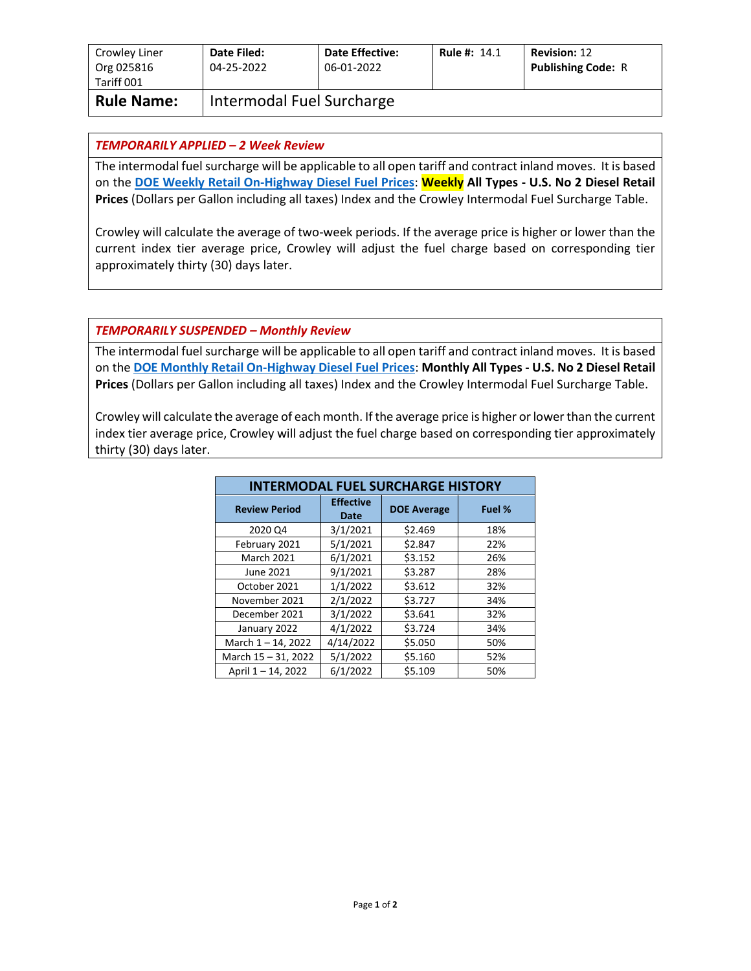| Crowley Liner<br>Org 025816<br>Tariff 001 | Date Filed:<br>04-25-2022 | <b>Date Effective:</b><br>06-01-2022 | <b>Rule #: 14.1</b> | <b>Revision: 12</b><br><b>Publishing Code: R</b> |
|-------------------------------------------|---------------------------|--------------------------------------|---------------------|--------------------------------------------------|
| <b>Rule Name:</b>                         | Intermodal Fuel Surcharge |                                      |                     |                                                  |

## *TEMPORARILY APPLIED – 2 Week Review*

The intermodal fuel surcharge will be applicable to all open tariff and contract inland moves. It is based on the **[DOE Weekly Retail On-Highway Diesel Fuel Prices](https://www.eia.gov/petroleum/gasdiesel/)**: **Weekly All Types - U.S. No 2 Diesel Retail Prices** (Dollars per Gallon including all taxes) Index and the Crowley Intermodal Fuel Surcharge Table.

Crowley will calculate the average of two-week periods. If the average price is higher or lower than the current index tier average price, Crowley will adjust the fuel charge based on corresponding tier approximately thirty (30) days later.

## *TEMPORARILY SUSPENDED – Monthly Review*

The intermodal fuel surcharge will be applicable to all open tariff and contract inland moves. It is based on the **[DOE Monthly Retail On-Highway Diesel Fuel Prices](https://www.eia.gov/petroleum/gasdiesel/)**: **Monthly All Types - U.S. No 2 Diesel Retail Prices** (Dollars per Gallon including all taxes) Index and the Crowley Intermodal Fuel Surcharge Table.

Crowley will calculate the average of each month. If the average price is higher or lower than the current index tier average price, Crowley will adjust the fuel charge based on corresponding tier approximately thirty (30) days later.

| <b>INTERMODAL FUEL SURCHARGE HISTORY</b> |                          |                    |        |  |  |
|------------------------------------------|--------------------------|--------------------|--------|--|--|
| <b>Review Period</b>                     | <b>Effective</b><br>Date | <b>DOE Average</b> | Fuel % |  |  |
| 2020 Q4                                  | 3/1/2021                 | \$2.469            | 18%    |  |  |
| February 2021                            | 5/1/2021                 | \$2.847            | 22%    |  |  |
| <b>March 2021</b>                        | 6/1/2021                 | \$3.152            | 26%    |  |  |
| June 2021                                | 9/1/2021                 | \$3.287            | 28%    |  |  |
| October 2021                             | 1/1/2022                 | \$3.612            | 32%    |  |  |
| November 2021                            | 2/1/2022                 | \$3.727            | 34%    |  |  |
| December 2021                            | 3/1/2022                 | \$3.641            | 32%    |  |  |
| January 2022                             | 4/1/2022                 | \$3.724            | 34%    |  |  |
| March $1 - 14$ , 2022                    | 4/14/2022                | \$5.050            | 50%    |  |  |
| March 15 - 31, 2022                      | 5/1/2022                 | \$5.160            | 52%    |  |  |
| April 1-14, 2022                         | 6/1/2022                 | \$5.109            | 50%    |  |  |